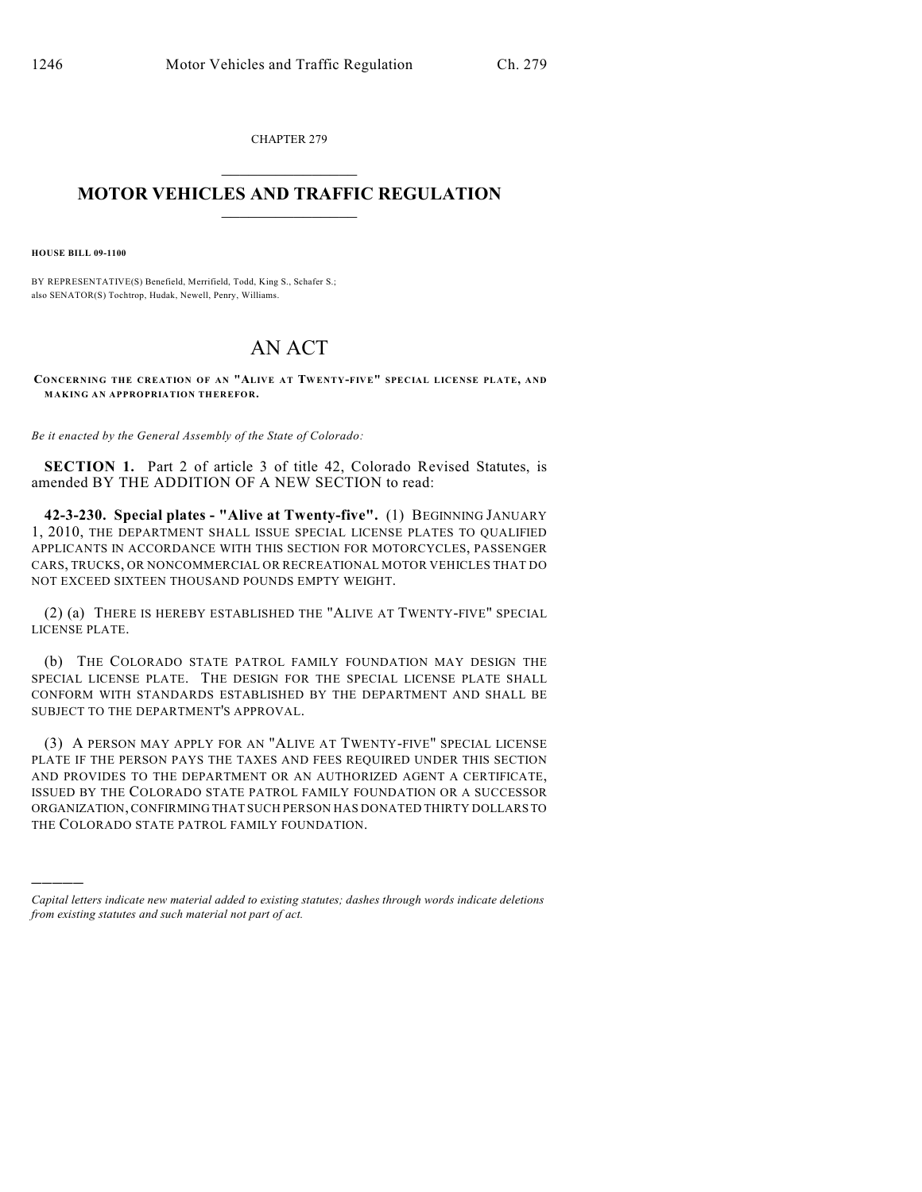CHAPTER 279  $\mathcal{L}_\text{max}$  . The set of the set of the set of the set of the set of the set of the set of the set of the set of the set of the set of the set of the set of the set of the set of the set of the set of the set of the set

## **MOTOR VEHICLES AND TRAFFIC REGULATION**  $\frac{1}{2}$  ,  $\frac{1}{2}$  ,  $\frac{1}{2}$  ,  $\frac{1}{2}$  ,  $\frac{1}{2}$  ,  $\frac{1}{2}$  ,  $\frac{1}{2}$  ,  $\frac{1}{2}$

**HOUSE BILL 09-1100**

)))))

BY REPRESENTATIVE(S) Benefield, Merrifield, Todd, King S., Schafer S.; also SENATOR(S) Tochtrop, Hudak, Newell, Penry, Williams.

## AN ACT

**CONCERNING THE CREATION OF AN "ALIVE AT TWENTY-FIVE" SPECIAL LICENSE PLATE, AND MAKING AN APPROPRIATION THEREFOR.**

*Be it enacted by the General Assembly of the State of Colorado:*

**SECTION 1.** Part 2 of article 3 of title 42, Colorado Revised Statutes, is amended BY THE ADDITION OF A NEW SECTION to read:

**42-3-230. Special plates - "Alive at Twenty-five".** (1) BEGINNING JANUARY 1, 2010, THE DEPARTMENT SHALL ISSUE SPECIAL LICENSE PLATES TO QUALIFIED APPLICANTS IN ACCORDANCE WITH THIS SECTION FOR MOTORCYCLES, PASSENGER CARS, TRUCKS, OR NONCOMMERCIAL OR RECREATIONAL MOTOR VEHICLES THAT DO NOT EXCEED SIXTEEN THOUSAND POUNDS EMPTY WEIGHT.

(2) (a) THERE IS HEREBY ESTABLISHED THE "ALIVE AT TWENTY-FIVE" SPECIAL LICENSE PLATE.

(b) THE COLORADO STATE PATROL FAMILY FOUNDATION MAY DESIGN THE SPECIAL LICENSE PLATE. THE DESIGN FOR THE SPECIAL LICENSE PLATE SHALL CONFORM WITH STANDARDS ESTABLISHED BY THE DEPARTMENT AND SHALL BE SUBJECT TO THE DEPARTMENT'S APPROVAL.

(3) A PERSON MAY APPLY FOR AN "ALIVE AT TWENTY-FIVE" SPECIAL LICENSE PLATE IF THE PERSON PAYS THE TAXES AND FEES REQUIRED UNDER THIS SECTION AND PROVIDES TO THE DEPARTMENT OR AN AUTHORIZED AGENT A CERTIFICATE, ISSUED BY THE COLORADO STATE PATROL FAMILY FOUNDATION OR A SUCCESSOR ORGANIZATION, CONFIRMING THAT SUCH PERSON HAS DONATED THIRTY DOLLARS TO THE COLORADO STATE PATROL FAMILY FOUNDATION.

*Capital letters indicate new material added to existing statutes; dashes through words indicate deletions from existing statutes and such material not part of act.*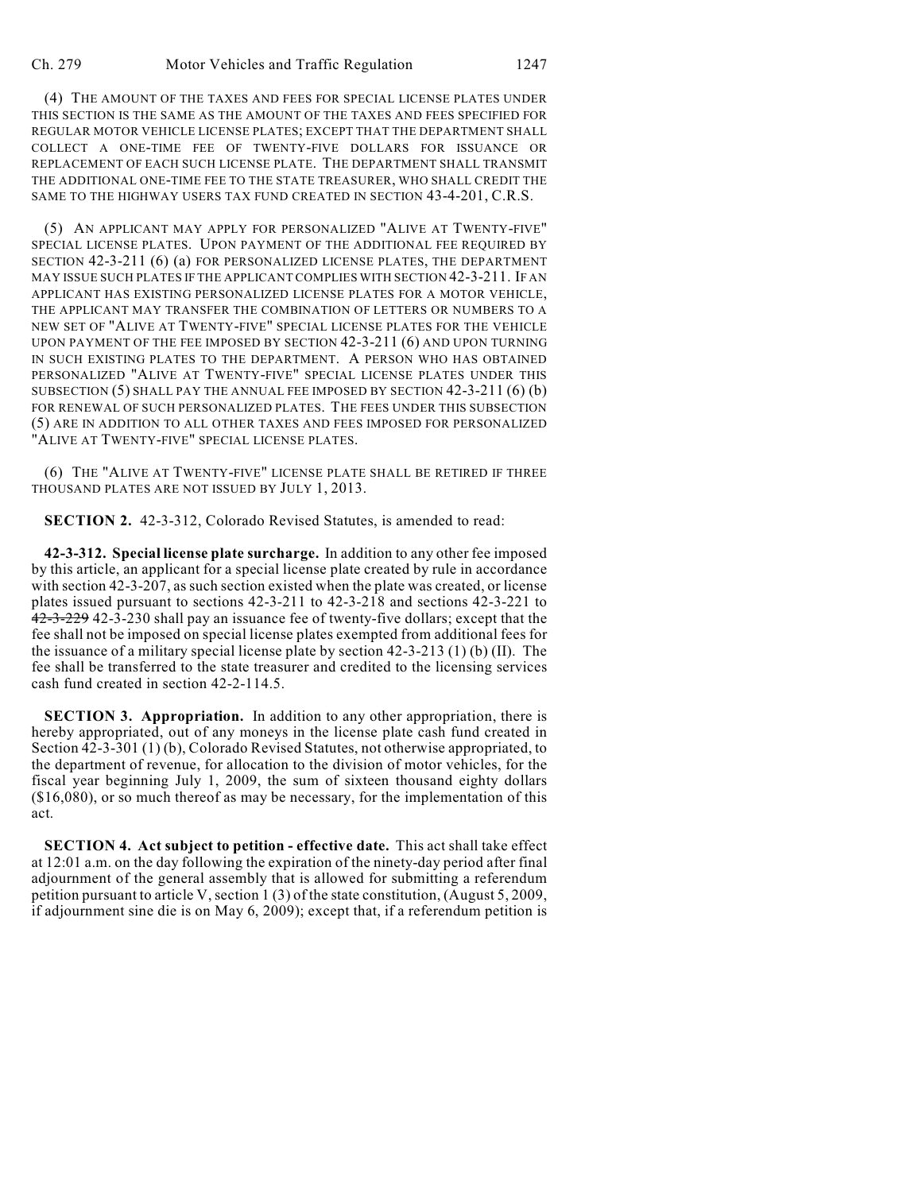(4) THE AMOUNT OF THE TAXES AND FEES FOR SPECIAL LICENSE PLATES UNDER THIS SECTION IS THE SAME AS THE AMOUNT OF THE TAXES AND FEES SPECIFIED FOR REGULAR MOTOR VEHICLE LICENSE PLATES; EXCEPT THAT THE DEPARTMENT SHALL COLLECT A ONE-TIME FEE OF TWENTY-FIVE DOLLARS FOR ISSUANCE OR REPLACEMENT OF EACH SUCH LICENSE PLATE. THE DEPARTMENT SHALL TRANSMIT THE ADDITIONAL ONE-TIME FEE TO THE STATE TREASURER, WHO SHALL CREDIT THE SAME TO THE HIGHWAY USERS TAX FUND CREATED IN SECTION 43-4-201, C.R.S.

(5) AN APPLICANT MAY APPLY FOR PERSONALIZED "ALIVE AT TWENTY-FIVE" SPECIAL LICENSE PLATES. UPON PAYMENT OF THE ADDITIONAL FEE REQUIRED BY SECTION 42-3-211 (6) (a) FOR PERSONALIZED LICENSE PLATES, THE DEPARTMENT MAY ISSUE SUCH PLATES IF THE APPLICANT COMPLIES WITH SECTION 42-3-211. IF AN APPLICANT HAS EXISTING PERSONALIZED LICENSE PLATES FOR A MOTOR VEHICLE, THE APPLICANT MAY TRANSFER THE COMBINATION OF LETTERS OR NUMBERS TO A NEW SET OF "ALIVE AT TWENTY-FIVE" SPECIAL LICENSE PLATES FOR THE VEHICLE UPON PAYMENT OF THE FEE IMPOSED BY SECTION 42-3-211 (6) AND UPON TURNING IN SUCH EXISTING PLATES TO THE DEPARTMENT. A PERSON WHO HAS OBTAINED PERSONALIZED "ALIVE AT TWENTY-FIVE" SPECIAL LICENSE PLATES UNDER THIS SUBSECTION (5) SHALL PAY THE ANNUAL FEE IMPOSED BY SECTION 42-3-211 (6) (b) FOR RENEWAL OF SUCH PERSONALIZED PLATES. THE FEES UNDER THIS SUBSECTION (5) ARE IN ADDITION TO ALL OTHER TAXES AND FEES IMPOSED FOR PERSONALIZED "ALIVE AT TWENTY-FIVE" SPECIAL LICENSE PLATES.

(6) THE "ALIVE AT TWENTY-FIVE" LICENSE PLATE SHALL BE RETIRED IF THREE THOUSAND PLATES ARE NOT ISSUED BY JULY 1, 2013.

**SECTION 2.** 42-3-312, Colorado Revised Statutes, is amended to read:

**42-3-312. Special license plate surcharge.** In addition to any other fee imposed by this article, an applicant for a special license plate created by rule in accordance with section 42-3-207, as such section existed when the plate was created, or license plates issued pursuant to sections 42-3-211 to 42-3-218 and sections 42-3-221 to 42-3-229 42-3-230 shall pay an issuance fee of twenty-five dollars; except that the fee shall not be imposed on special license plates exempted from additional fees for the issuance of a military special license plate by section  $42-3-213$  (1) (b) (II). The fee shall be transferred to the state treasurer and credited to the licensing services cash fund created in section 42-2-114.5.

**SECTION 3. Appropriation.** In addition to any other appropriation, there is hereby appropriated, out of any moneys in the license plate cash fund created in Section 42-3-301 (1) (b), Colorado Revised Statutes, not otherwise appropriated, to the department of revenue, for allocation to the division of motor vehicles, for the fiscal year beginning July 1, 2009, the sum of sixteen thousand eighty dollars (\$16,080), or so much thereof as may be necessary, for the implementation of this act.

**SECTION 4. Act subject to petition - effective date.** This act shall take effect at 12:01 a.m. on the day following the expiration of the ninety-day period after final adjournment of the general assembly that is allowed for submitting a referendum petition pursuant to article V, section 1 (3) of the state constitution, (August 5, 2009, if adjournment sine die is on May 6, 2009); except that, if a referendum petition is